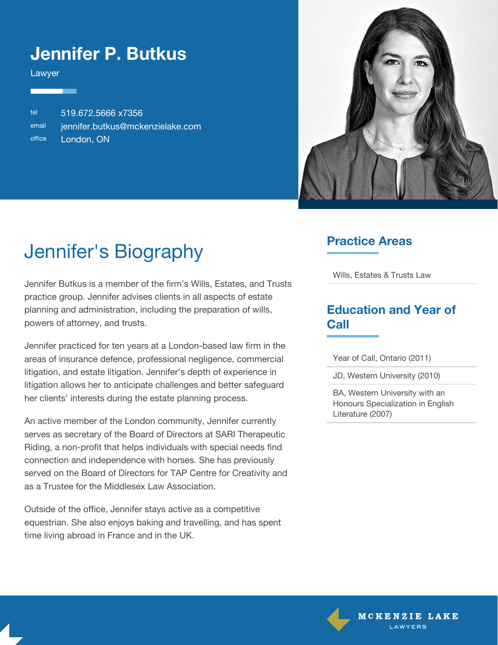### **Jennifer P. Butkus**

Lawyer

tel 519.672.5666 x7356 email [jennifer.butkus@mckenzielake.com](mailto:jennifer.butkus@mckenzielake.com) office London, ON



# Jennifer's Biography

Jennifer Butkus is a member of the firm's Wills, Estates, and Trusts practice group. Jennifer advises clients in all aspects of estate planning and administration, including the preparation of wills, powers of attorney, and trusts.

Jennifer practiced for ten years at a London-based law firm in the areas of insurance defence, professional negligence, commercial litigation, and estate litigation. Jennifer's depth of experience in litigation allows her to anticipate challenges and better safeguard her clients' interests during the estate planning process.

An active member of the London community, Jennifer currently serves as secretary of the Board of Directors at SARI Therapeutic Riding, a non-profit that helps individuals with special needs find connection and independence with horses. She has previously served on the Board of Directors for TAP Centre for Creativity and as a Trustee for the Middlesex Law Association.

Outside of the office, Jennifer stays active as a competitive equestrian. She also enjoys baking and travelling, and has spent time living abroad in France and in the UK.

#### **Practice Areas**

Wills, Estates & Trusts Law

### **Education and Year of Call**

Year of Call, Ontario (2011)

JD, Western University (2010)

BA, Western University with an Honours Specialization in English Literature (2007)